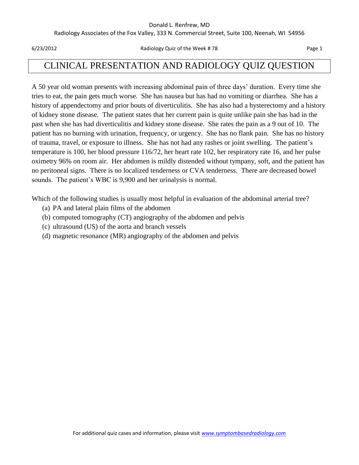#### Donald L. Renfrew, MD

Radiology Associates of the Fox Valley, 333 N. Commercial Street, Suite 100, Neenah, WI 54956

6/23/2012 Radiology Quiz of the Week # 78 Page 1

# CLINICAL PRESENTATION AND RADIOLOGY QUIZ QUESTION

A 50 year old woman presents with increasing abdominal pain of three days' duration. Every time she tries to eat, the pain gets much worse. She has nausea but has had no vomiting or diarrhea. She has a history of appendectomy and prior bouts of diverticulitis. She has also had a hysterectomy and a history of kidney stone disease. The patient states that her current pain is quite unlike pain she has had in the past when she has had diverticulitis and kidney stone disease. She rates the pain as a 9 out of 10. The patient has no burning with urination, frequency, or urgency. She has no flank pain. She has no history of trauma, travel, or exposure to illness. She has not had any rashes or joint swelling. The patient's temperature is 100, her blood pressure 116/72, her heart rate 102, her respiratory rate 16, and her pulse oximetry 96% on room air. Her abdomen is mildly distended without tympany, soft, and the patient has no peritoneal signs. There is no localized tenderness or CVA tenderness. There are decreased bowel sounds. The patient's WBC is 9,900 and her urinalysis is normal.

Which of the following studies is usually most helpful in evaluation of the abdominal arterial tree?

- (a) PA and lateral plain films of the abdomen
- (b) computed tomography (CT) angiography of the abdomen and pelvis
- (c) ultrasound (US) of the aorta and branch vessels
- (d) magnetic resonance (MR) angiography of the abdomen and pelvis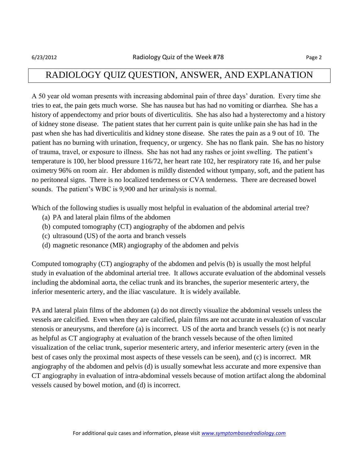#### RADIOLOGY QUIZ QUESTION, ANSWER, AND EXPLANATION

A 50 year old woman presents with increasing abdominal pain of three days' duration. Every time she tries to eat, the pain gets much worse. She has nausea but has had no vomiting or diarrhea. She has a history of appendectomy and prior bouts of diverticulitis. She has also had a hysterectomy and a history of kidney stone disease. The patient states that her current pain is quite unlike pain she has had in the past when she has had diverticulitis and kidney stone disease. She rates the pain as a 9 out of 10. The patient has no burning with urination, frequency, or urgency. She has no flank pain. She has no history of trauma, travel, or exposure to illness. She has not had any rashes or joint swelling. The patient's temperature is 100, her blood pressure 116/72, her heart rate 102, her respiratory rate 16, and her pulse oximetry 96% on room air. Her abdomen is mildly distended without tympany, soft, and the patient has no peritoneal signs. There is no localized tenderness or CVA tenderness. There are decreased bowel sounds. The patient's WBC is 9,900 and her urinalysis is normal.

Which of the following studies is usually most helpful in evaluation of the abdominal arterial tree?

- (a) PA and lateral plain films of the abdomen
- (b) computed tomography (CT) angiography of the abdomen and pelvis
- (c) ultrasound (US) of the aorta and branch vessels
- (d) magnetic resonance (MR) angiography of the abdomen and pelvis

Computed tomography (CT) angiography of the abdomen and pelvis (b) is usually the most helpful study in evaluation of the abdominal arterial tree. It allows accurate evaluation of the abdominal vessels including the abdominal aorta, the celiac trunk and its branches, the superior mesenteric artery, the inferior mesenteric artery, and the iliac vasculature. It is widely available.

PA and lateral plain films of the abdomen (a) do not directly visualize the abdominal vessels unless the vessels are calcified. Even when they are calcified, plain films are not accurate in evaluation of vascular stenosis or aneurysms, and therefore (a) is incorrect. US of the aorta and branch vessels (c) is not nearly as helpful as CT angiography at evaluation of the branch vessels because of the often limited visualization of the celiac trunk, superior mesenteric artery, and inferior mesenteric artery (even in the best of cases only the proximal most aspects of these vessels can be seen), and (c) is incorrect. MR angiography of the abdomen and pelvis (d) is usually somewhat less accurate and more expensive than CT angiography in evaluation of intra-abdominal vessels because of motion artifact along the abdominal vessels caused by bowel motion, and (d) is incorrect.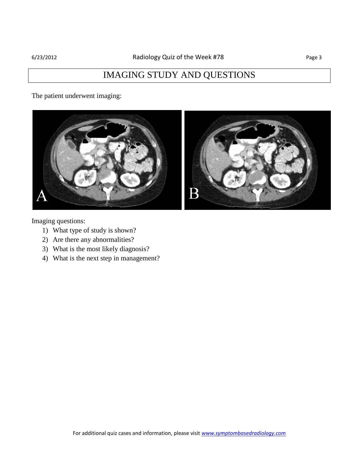# IMAGING STUDY AND QUESTIONS

The patient underwent imaging:



Imaging questions:

- 1) What type of study is shown?
- 2) Are there any abnormalities?
- 3) What is the most likely diagnosis?
- 4) What is the next step in management?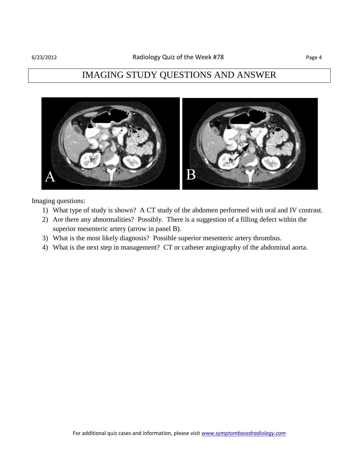#### IMAGING STUDY QUESTIONS AND ANSWER



Imaging questions:

- 1) What type of study is shown? A CT study of the abdomen performed with oral and IV contrast.
- 2) Are there any abnormalities? Possibly. There is a suggestion of a filling defect within the superior mesenteric artery (arrow in panel B).
- 3) What is the most likely diagnosis? Possible superior mesenteric artery thrombus.
- 4) What is the next step in management? CT or catheter angiography of the abdominal aorta.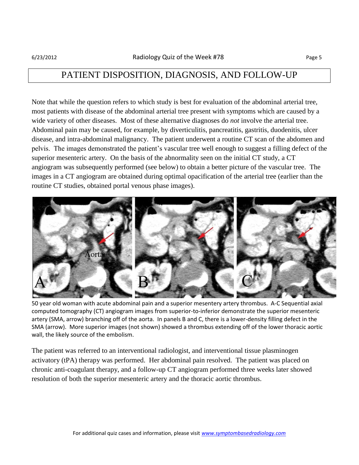### PATIENT DISPOSITION, DIAGNOSIS, AND FOLLOW-UP

Note that while the question refers to which study is best for evaluation of the abdominal arterial tree, most patients with disease of the abdominal arterial tree present with symptoms which are caused by a wide variety of other diseases. Most of these alternative diagnoses do *not* involve the arterial tree. Abdominal pain may be caused, for example, by diverticulitis, pancreatitis, gastritis, duodenitis, ulcer disease, and intra-abdominal malignancy. The patient underwent a routine CT scan of the abdomen and pelvis. The images demonstrated the patient's vascular tree well enough to suggest a filling defect of the superior mesenteric artery. On the basis of the abnormality seen on the initial CT study, a CT angiogram was subsequently performed (see below) to obtain a better picture of the vascular tree. The images in a CT angiogram are obtained during optimal opacification of the arterial tree (earlier than the routine CT studies, obtained portal venous phase images).



50 year old woman with acute abdominal pain and a superior mesentery artery thrombus. A-C Sequential axial computed tomography (CT) angiogram images from superior-to-inferior demonstrate the superior mesenteric artery (SMA, arrow) branching off of the aorta. In panels B and C, there is a lower-density filling defect in the SMA (arrow). More superior images (not shown) showed a thrombus extending off of the lower thoracic aortic wall, the likely source of the embolism.

The patient was referred to an interventional radiologist, and interventional tissue plasminogen activatory (tPA) therapy was performed. Her abdominal pain resolved. The patient was placed on chronic anti-coagulant therapy, and a follow-up CT angiogram performed three weeks later showed resolution of both the superior mesenteric artery and the thoracic aortic thrombus.